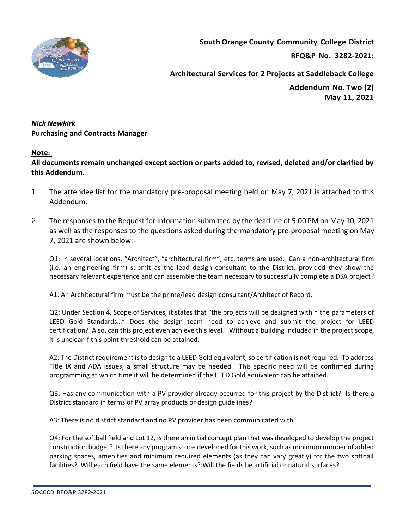

**South Orange County Community College District**

**RFQ&P No. 3282-2021:** 

**Architectural Services for 2 Projects at Saddleback College**

**Addendum No. Two (2) May 11, 2021**

## *Nick Newkirk*  **Purchasing and Contracts Manager**

## **Note:**

**All documents remain unchanged except section or parts added to, revised, deleted and/or clarified by this Addendum.**

- 1. The attendee list for the mandatory pre-proposal meeting held on May 7, 2021 is attached to this Addendum.
- 2. The responses to the Request for Information submitted by the deadline of 5:00 PM on May 10, 2021 as well as the responses to the questions asked during the mandatory pre-proposal meeting on May 7, 2021 are shown below:

Q1: In several locations, "Architect", "architectural firm", etc. terms are used. Can a non-architectural firm (i.e. an engineering firm) submit as the lead design consultant to the District, provided they show the necessary relevant experience and can assemble the team necessary to successfully complete a DSA project?

A1: An Architectural firm must be the prime/lead design consultant/Architect of Record.

Q2: Under Section 4, Scope of Services, it states that "the projects will be designed within the parameters of LEED Gold Standards…" Does the design team need to achieve and submit the project for LEED certification? Also, can this project even achieve this level? Without a building included in the project scope, it is unclear if this point threshold can be attained.

A2: The District requirement is to design to a LEED Gold equivalent, so certification is not required. To address Title IX and ADA issues, a small structure may be needed. This specific need will be confirmed during programming at which time it will be determined if the LEED Gold equivalent can be attained.

Q3: Has any communication with a PV provider already occurred for this project by the District? Is there a District standard in terms of PV array products or design guidelines?

A3: There is no district standard and no PV provider has been communicated with.

Q4: For the softball field and Lot 12, is there an initial concept plan that was developed to develop the project construction budget? Is there any program scope developed for this work, such as minimum number of added parking spaces, amenities and minimum required elements (as they can vary greatly) for the two softball facilities? Will each field have the same elements? Will the fields be artificial or natural surfaces?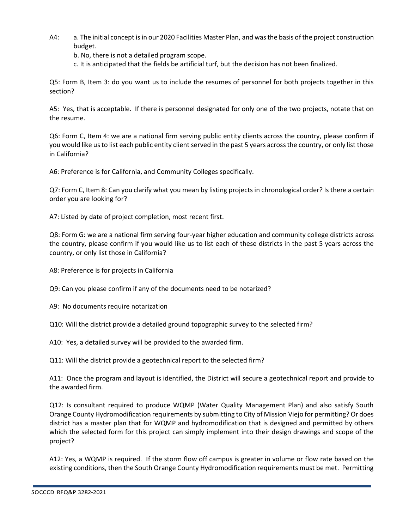A4: a. The initial concept is in our 2020 Facilities Master Plan, and was the basis of the project construction budget.

b. No, there is not a detailed program scope.

c. It is anticipated that the fields be artificial turf, but the decision has not been finalized.

Q5: Form B, Item 3: do you want us to include the resumes of personnel for both projects together in this section?

A5: Yes, that is acceptable. If there is personnel designated for only one of the two projects, notate that on the resume.

Q6: Form C, Item 4: we are a national firm serving public entity clients across the country, please confirm if you would like us to list each public entity client served in the past 5 years across the country, or only list those in California?

A6: Preference is for California, and Community Colleges specifically.

Q7: Form C, Item 8: Can you clarify what you mean by listing projects in chronological order? Is there a certain order you are looking for?

A7: Listed by date of project completion, most recent first.

Q8: Form G: we are a national firm serving four-year higher education and community college districts across the country, please confirm if you would like us to list each of these districts in the past 5 years across the country, or only list those in California?

A8: Preference is for projects in California

Q9: Can you please confirm if any of the documents need to be notarized?

A9: No documents require notarization

Q10: Will the district provide a detailed ground topographic survey to the selected firm?

A10: Yes, a detailed survey will be provided to the awarded firm.

Q11: Will the district provide a geotechnical report to the selected firm?

A11: Once the program and layout is identified, the District will secure a geotechnical report and provide to the awarded firm.

Q12: Is consultant required to produce WQMP (Water Quality Management Plan) and also satisfy South Orange County Hydromodification requirements by submitting to City of Mission Viejo for permitting? Or does district has a master plan that for WQMP and hydromodification that is designed and permitted by others which the selected form for this project can simply implement into their design drawings and scope of the project?

A12: Yes, a WQMP is required. If the storm flow off campus is greater in volume or flow rate based on the existing conditions, then the South Orange County Hydromodification requirements must be met. Permitting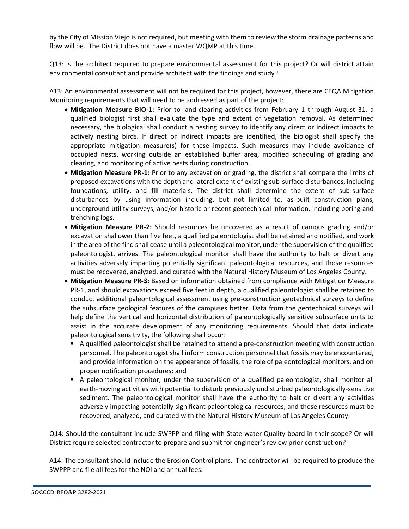by the City of Mission Viejo is not required, but meeting with them to review the storm drainage patterns and flow will be. The District does not have a master WQMP at this time.

Q13: Is the architect required to prepare environmental assessment for this project? Or will district attain environmental consultant and provide architect with the findings and study?

A13: An environmental assessment will not be required for this project, however, there are CEQA Mitigation Monitoring requirements that will need to be addressed as part of the project:

- **Mitigation Measure BIO-1:** Prior to land-clearing activities from February 1 through August 31, a qualified biologist first shall evaluate the type and extent of vegetation removal. As determined necessary, the biological shall conduct a nesting survey to identify any direct or indirect impacts to actively nesting birds. If direct or indirect impacts are identified, the biologist shall specify the appropriate mitigation measure(s) for these impacts. Such measures may include avoidance of occupied nests, working outside an established buffer area, modified scheduling of grading and clearing, and monitoring of active nests during construction.
- **Mitigation Measure PR-1:** Prior to any excavation or grading, the district shall compare the limits of proposed excavations with the depth and lateral extent of existing sub-surface disturbances, including foundations, utility, and fill materials. The district shall determine the extent of sub-surface disturbances by using information including, but not limited to, as-built construction plans, underground utility surveys, and/or historic or recent geotechnical information, including boring and trenching logs.
- **Mitigation Measure PR-2:** Should resources be uncovered as a result of campus grading and/or excavation shallower than five feet, a qualified paleontologist shall be retained and notified, and work in the area of the find shall cease until a paleontological monitor, under the supervision of the qualified paleontologist, arrives. The paleontological monitor shall have the authority to halt or divert any activities adversely impacting potentially significant paleontological resources, and those resources must be recovered, analyzed, and curated with the Natural History Museum of Los Angeles County.
- **Mitigation Measure PR-3:** Based on information obtained from compliance with Mitigation Measure PR-1, and should excavations exceed five feet in depth, a qualified paleontologist shall be retained to conduct additional paleontological assessment using pre-construction geotechnical surveys to define the subsurface geological features of the campuses better. Data from the geotechnical surveys will help define the vertical and horizontal distribution of paleontologically sensitive subsurface units to assist in the accurate development of any monitoring requirements. Should that data indicate paleontological sensitivity, the following shall occur:
	- A qualified paleontologist shall be retained to attend a pre-construction meeting with construction personnel. The paleontologist shall inform construction personnel that fossils may be encountered, and provide information on the appearance of fossils, the role of paleontological monitors, and on proper notification procedures; and
	- A paleontological monitor, under the supervision of a qualified paleontologist, shall monitor all earth-moving activities with potential to disturb previously undisturbed paleontologically-sensitive sediment. The paleontological monitor shall have the authority to halt or divert any activities adversely impacting potentially significant paleontological resources, and those resources must be recovered, analyzed, and curated with the Natural History Museum of Los Angeles County.

Q14: Should the consultant include SWPPP and filing with State water Quality board in their scope? Or will District require selected contractor to prepare and submit for engineer's review prior construction?

A14: The consultant should include the Erosion Control plans. The contractor will be required to produce the SWPPP and file all fees for the NOI and annual fees.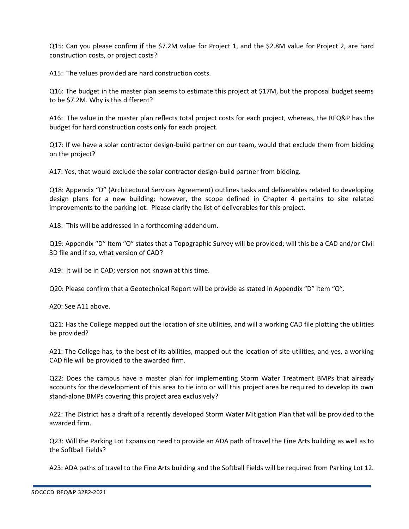Q15: Can you please confirm if the \$7.2M value for Project 1, and the \$2.8M value for Project 2, are hard construction costs, or project costs?

A15: The values provided are hard construction costs.

Q16: The budget in the master plan seems to estimate this project at \$17M, but the proposal budget seems to be \$7.2M. Why is this different?

A16: The value in the master plan reflects total project costs for each project, whereas, the RFQ&P has the budget for hard construction costs only for each project.

Q17: If we have a solar contractor design-build partner on our team, would that exclude them from bidding on the project?

A17: Yes, that would exclude the solar contractor design-build partner from bidding.

Q18: Appendix "D" (Architectural Services Agreement) outlines tasks and deliverables related to developing design plans for a new building; however, the scope defined in Chapter 4 pertains to site related improvements to the parking lot. Please clarify the list of deliverables for this project.

A18: This will be addressed in a forthcoming addendum.

Q19: Appendix "D" Item "O" states that a Topographic Survey will be provided; will this be a CAD and/or Civil 3D file and if so, what version of CAD?

A19: It will be in CAD; version not known at this time.

Q20: Please confirm that a Geotechnical Report will be provide as stated in Appendix "D" Item "O".

A20: See A11 above.

Q21: Has the College mapped out the location of site utilities, and will a working CAD file plotting the utilities be provided?

A21: The College has, to the best of its abilities, mapped out the location of site utilities, and yes, a working CAD file will be provided to the awarded firm.

Q22: Does the campus have a master plan for implementing Storm Water Treatment BMPs that already accounts for the development of this area to tie into or will this project area be required to develop its own stand-alone BMPs covering this project area exclusively?

A22: The District has a draft of a recently developed Storm Water Mitigation Plan that will be provided to the awarded firm.

Q23: Will the Parking Lot Expansion need to provide an ADA path of travel the Fine Arts building as well as to the Softball Fields?

A23: ADA paths of travel to the Fine Arts building and the Softball Fields will be required from Parking Lot 12.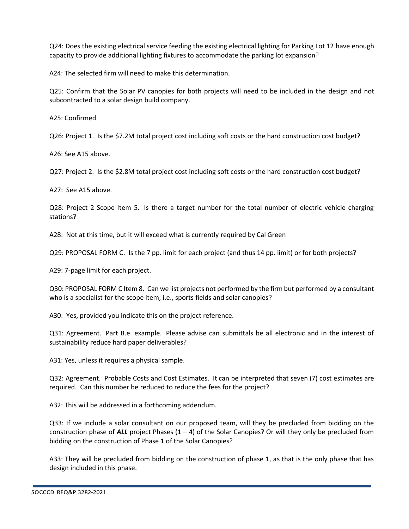Q24: Does the existing electrical service feeding the existing electrical lighting for Parking Lot 12 have enough capacity to provide additional lighting fixtures to accommodate the parking lot expansion?

A24: The selected firm will need to make this determination.

Q25: Confirm that the Solar PV canopies for both projects will need to be included in the design and not subcontracted to a solar design build company.

A25: Confirmed

Q26: Project 1. Is the \$7.2M total project cost including soft costs or the hard construction cost budget?

A26: See A15 above.

Q27: Project 2. Is the \$2.8M total project cost including soft costs or the hard construction cost budget?

A27: See A15 above.

Q28: Project 2 Scope Item 5. Is there a target number for the total number of electric vehicle charging stations?

A28: Not at this time, but it will exceed what is currently required by Cal Green

Q29: PROPOSAL FORM C. Is the 7 pp. limit for each project (and thus 14 pp. limit) or for both projects?

A29: 7-page limit for each project.

Q30: PROPOSAL FORM C Item 8. Can we list projects not performed by the firm but performed by a consultant who is a specialist for the scope item; i.e., sports fields and solar canopies?

A30: Yes, provided you indicate this on the project reference.

Q31: Agreement. Part B.e. example. Please advise can submittals be all electronic and in the interest of sustainability reduce hard paper deliverables?

A31: Yes, unless it requires a physical sample.

Q32: Agreement. Probable Costs and Cost Estimates. It can be interpreted that seven (7) cost estimates are required. Can this number be reduced to reduce the fees for the project?

A32: This will be addressed in a forthcoming addendum.

Q33: If we include a solar consultant on our proposed team, will they be precluded from bidding on the construction phase of  $ALL$  project Phases  $(1 – 4)$  of the Solar Canopies? Or will they only be precluded from bidding on the construction of Phase 1 of the Solar Canopies?

A33: They will be precluded from bidding on the construction of phase 1, as that is the only phase that has design included in this phase.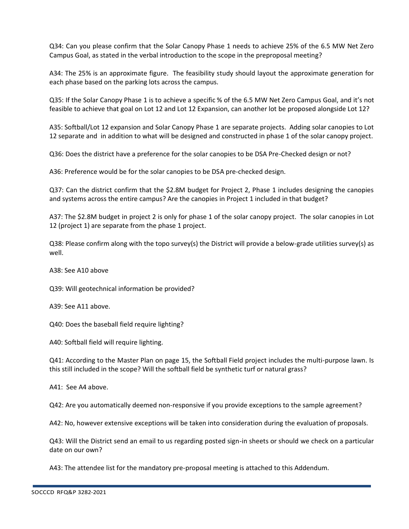Q34: Can you please confirm that the Solar Canopy Phase 1 needs to achieve 25% of the 6.5 MW Net Zero Campus Goal, as stated in the verbal introduction to the scope in the preproposal meeting?

A34: The 25% is an approximate figure. The feasibility study should layout the approximate generation for each phase based on the parking lots across the campus.

Q35: If the Solar Canopy Phase 1 is to achieve a specific % of the 6.5 MW Net Zero Campus Goal, and it's not feasible to achieve that goal on Lot 12 and Lot 12 Expansion, can another lot be proposed alongside Lot 12?

A35: Softball/Lot 12 expansion and Solar Canopy Phase 1 are separate projects. Adding solar canopies to Lot 12 separate and in addition to what will be designed and constructed in phase 1 of the solar canopy project.

Q36: Does the district have a preference for the solar canopies to be DSA Pre-Checked design or not?

A36: Preference would be for the solar canopies to be DSA pre-checked design.

Q37: Can the district confirm that the \$2.8M budget for Project 2, Phase 1 includes designing the canopies and systems across the entire campus? Are the canopies in Project 1 included in that budget?

A37: The \$2.8M budget in project 2 is only for phase 1 of the solar canopy project. The solar canopies in Lot 12 (project 1) are separate from the phase 1 project.

Q38: Please confirm along with the topo survey(s) the District will provide a below-grade utilities survey(s) as well.

A38: See A10 above

Q39: Will geotechnical information be provided?

A39: See A11 above.

Q40: Does the baseball field require lighting?

A40: Softball field will require lighting.

Q41: According to the Master Plan on page 15, the Softball Field project includes the multi-purpose lawn. Is this still included in the scope? Will the softball field be synthetic turf or natural grass?

A41: See A4 above.

Q42: Are you automatically deemed non-responsive if you provide exceptions to the sample agreement?

A42: No, however extensive exceptions will be taken into consideration during the evaluation of proposals.

Q43: Will the District send an email to us regarding posted sign-in sheets or should we check on a particular date on our own?

A43: The attendee list for the mandatory pre-proposal meeting is attached to this Addendum.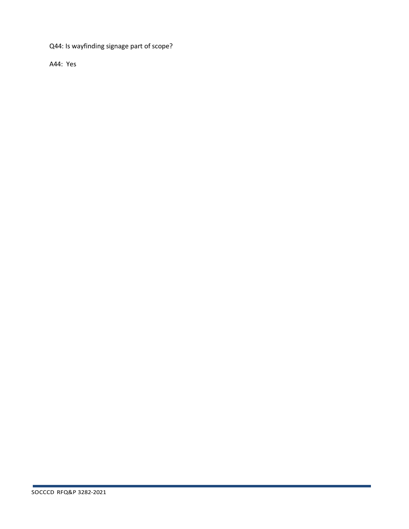Q44: Is wayfinding signage part of scope?

A44: Yes